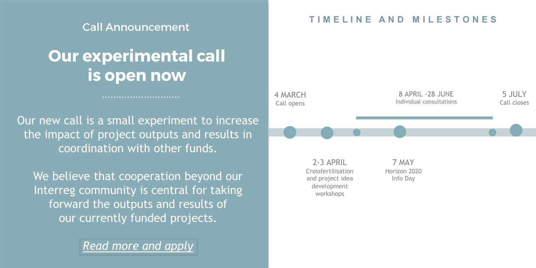#### **Call Announcement**

# **Our experimental call** is open now

............................

Our new call is a small experiment to increase the impact of project outputs and results in coordination with other funds.

We believe that cooperation beyond our Interreg community is central for taking forward the outputs and results of our currently funded projects.

*[Read more and apply](https://www.interreg-central.eu/Content.Node/apply/apply.html)*

#### **T I M E L I N E A N D M I L E S T O N E S**

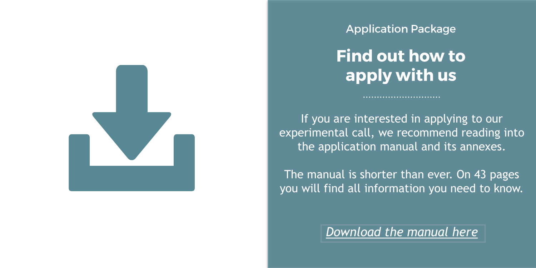

**Application Package** 

**Find out how to** apply with us

If you are interested in applying to our experimental call, we recommend reading into the application manual and its annexes.

The manual is shorter than ever. On 43 pages you will find all information you need to know.

*[Download the manual here](https://www.interreg-central.eu/Content.Node/apply/apply.html#Documents)*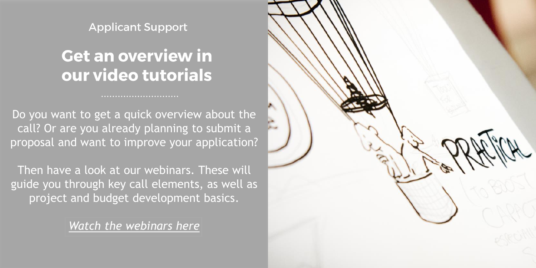**Applicant Support** 

# **Get an overview in** our video tutorials

Do you want to get a quick overview about the call? Or are you already planning to submit a proposal and want to improve your application?

Then have a look at our webinars. These will guide you through key call elements, as well as project and budget development basics.

*[Watch the webinars here](https://www.youtube.com/playlist?list=PLnfEQzGh-PuWCVmGH5WgDAU1nejPGRwl5)*

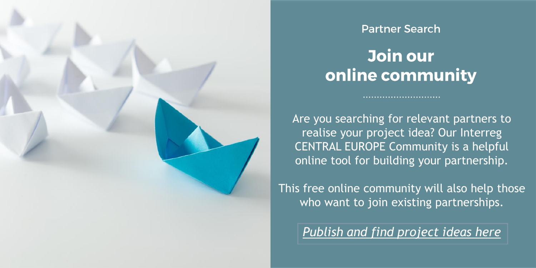

#### **Partner Search**

### Join our online community

Are you searching for relevant partners to realise your project idea? Our Interreg CENTRAL EUROPE Community is a helpful online tool for building your partnership.

This free online community will also help those who want to join existing partnerships.

*[Publish and find project ideas here](https://www.interreg-central.eu/Content.Node/apply/ideas1.html)*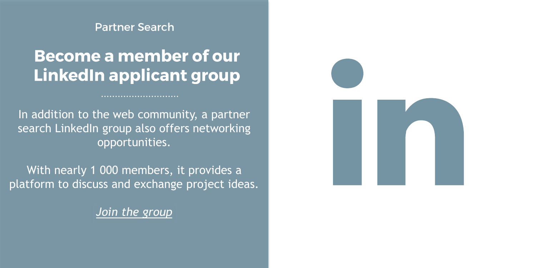**Partner Search** 

### **Become a member of our LinkedIn applicant group**

...........................

In addition to the web community, a partner search LinkedIn group also offers networking opportunities.

With nearly 1 000 members, it provides a platform to discuss and exchange project ideas.

*[Join the group](https://www.linkedin.com/groups/5145214/)*

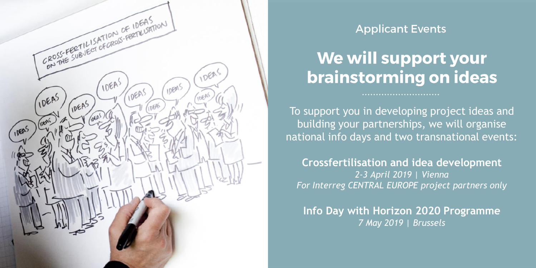

### **Applicant Events**

# We will support your brainstorming on ideas

To support you in developing project ideas and building your partnerships, we will organise national info days and two transnational events:

**Crossfertilisation and idea development** *2-3 April 2019 | Vienna For Interreg CENTRAL EUROPE project partners only*

**Info Day with Horizon 2020 Programme** *7 May 2019 | Brussels*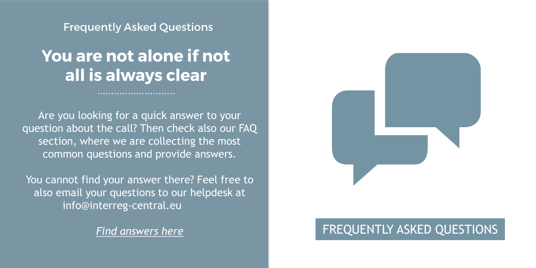**Frequently Asked Questions** 

# You are not alone if not all is always clear

Are you looking for a quick answer to your question about the call? Then check also our FAQ section, where we are collecting the most common questions and provide answers.

You cannot find your answer there? Feel free to also email your questions to our helpdesk at info@interreg-central.eu



### **[Find answers here](https://www.interreg-central.eu/Content.Node/apply/FAQs.html) FREQUENTLY ASKED QUESTIONS**